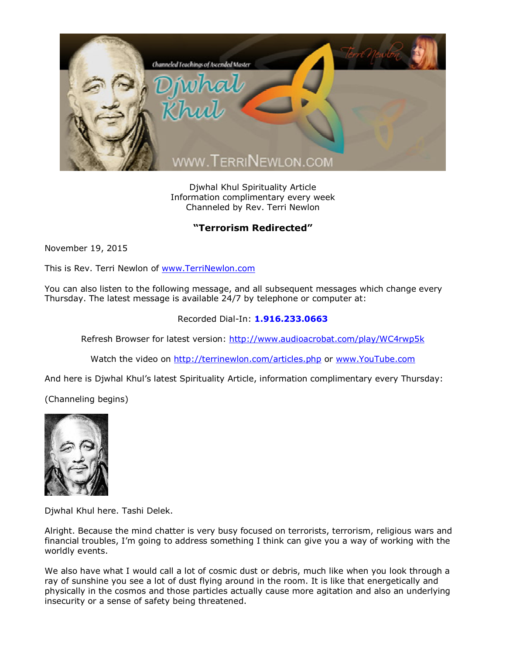

Djwhal Khul Spirituality Article Information complimentary every week Channeled by Rev. Terri Newlon

## **"Terrorism Redirected"**

November 19, 2015

This is Rev. Terri Newlon of [www.TerriNewlon.com](http://www.terrinewlon.com/)

You can also listen to the following message, and all subsequent messages which change every Thursday. The latest message is available 24/7 by telephone or computer at:

## Recorded Dial-In: **1.916.233.0663**

Refresh Browser for latest version: <http://www.audioacrobat.com/play/WC4rwp5k>

Watch the video on <http://terrinewlon.com/articles.php> or [www.YouTube.com](http://www.youtube.com/)

And here is Djwhal Khul's latest Spirituality Article, information complimentary every Thursday:

(Channeling begins)



Djwhal Khul here. Tashi Delek.

Alright. Because the mind chatter is very busy focused on terrorists, terrorism, religious wars and financial troubles, I'm going to address something I think can give you a way of working with the worldly events.

We also have what I would call a lot of cosmic dust or debris, much like when you look through a ray of sunshine you see a lot of dust flying around in the room. It is like that energetically and physically in the cosmos and those particles actually cause more agitation and also an underlying insecurity or a sense of safety being threatened.